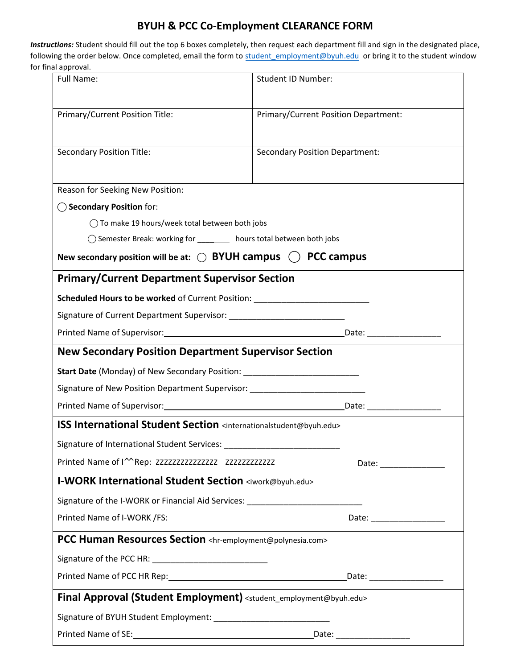## **BYUH & PCC Co-Employment CLEARANCE FORM**

*Instructions:* Student should fill out the top 6 boxes completely, then request each department fill and sign in the designated place, following the order below. Once completed, email the form to [student\\_employment@byuh.edu](mailto:student_employment@byuh.edu) or bring it to the student window for final approval.

| Full Name:                                                                                                            | Student ID Number:                                                  |
|-----------------------------------------------------------------------------------------------------------------------|---------------------------------------------------------------------|
|                                                                                                                       |                                                                     |
| Primary/Current Position Title:                                                                                       | Primary/Current Position Department:                                |
|                                                                                                                       |                                                                     |
| <b>Secondary Position Title:</b>                                                                                      | <b>Secondary Position Department:</b>                               |
|                                                                                                                       |                                                                     |
| Reason for Seeking New Position:                                                                                      |                                                                     |
| ◯ Secondary Position for:                                                                                             |                                                                     |
| ◯ To make 19 hours/week total between both jobs                                                                       |                                                                     |
| $\bigcirc$ Semester Break: working for _________ hours total between both jobs                                        |                                                                     |
| New secondary position will be at: $\bigcirc$ BYUH campus $\bigcirc$ PCC campus                                       |                                                                     |
| <b>Primary/Current Department Supervisor Section</b>                                                                  |                                                                     |
| Scheduled Hours to be worked of Current Position: ______________________________                                      |                                                                     |
| Signature of Current Department Supervisor: National Processor of Current Control of Supervisor Control of Supervisor |                                                                     |
|                                                                                                                       |                                                                     |
| <b>New Secondary Position Department Supervisor Section</b>                                                           |                                                                     |
| Start Date (Monday) of New Secondary Position: _________________________________                                      |                                                                     |
| Signature of New Position Department Supervisor: _______________________________                                      |                                                                     |
|                                                                                                                       |                                                                     |
| ISS International Student Section <internationalstudent@byuh.edu></internationalstudent@byuh.edu>                     |                                                                     |
| Signature of International Student Services:                                                                          |                                                                     |
| Printed Name of I^ Rep: Z<br>z                                                                                        | Date: _________________                                             |
| <b>I-WORK International Student Section <iwork@byuh.edu></iwork@byuh.edu></b>                                         |                                                                     |
| Signature of the I-WORK or Financial Aid Services: _____________________________                                      |                                                                     |
|                                                                                                                       | Printed Name of I-WORK /FS: New York 1997 and the Contract of Date: |
| PCC Human Resources Section <hr-employment@polynesia.com></hr-employment@polynesia.com>                               |                                                                     |
|                                                                                                                       |                                                                     |
|                                                                                                                       |                                                                     |
| Final Approval (Student Employment) <student_employment@byuh.edu></student_employment@byuh.edu>                       |                                                                     |
|                                                                                                                       |                                                                     |
|                                                                                                                       |                                                                     |